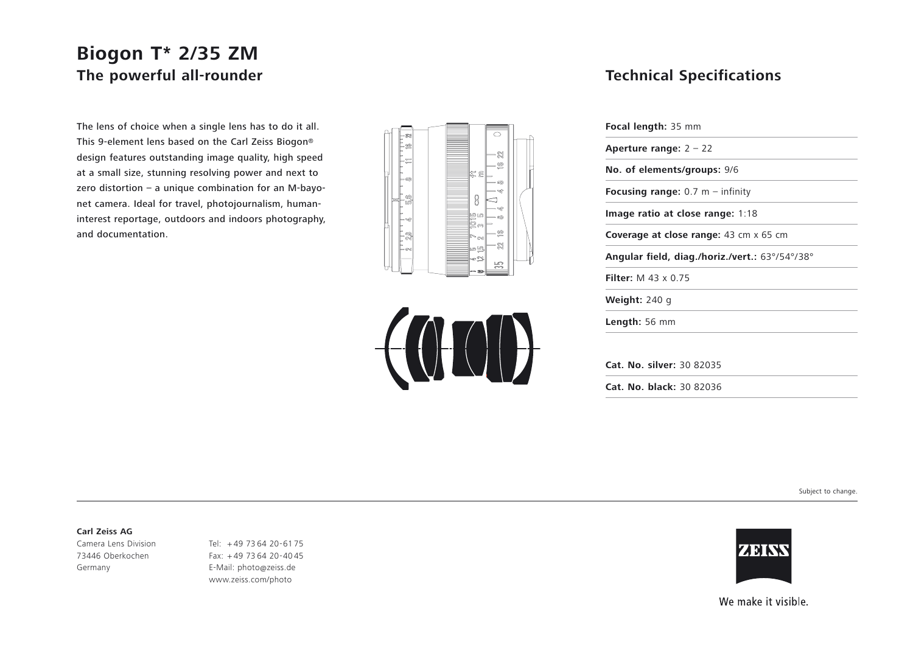# **Biogon T\* 2/35 ZM The powerful all-rounder**

The lens of choice when a single lens has to do it all. This 9-element lens based on the Carl Zeiss Biogon® design features outstanding image quality, high speed at a small size, stunning resolving power and next to zero distortion – a unique combination for an M-bayonet camera. Ideal for travel, photojournalism, humaninterest reportage, outdoors and indoors photography, and documentation.





### **Technical Specifications**

| <b>Focal length: 35 mm</b>                     |
|------------------------------------------------|
| Aperture range: $2 - 22$                       |
| No. of elements/groups: 9/6                    |
| <b>Focusing range:</b> $0.7$ m – infinity      |
| Image ratio at close range: 1:18               |
| <b>Coverage at close range:</b> 43 cm x 65 cm  |
| Angular field, diag./horiz./vert.: 63°/54°/38° |
| Filter: $M$ 43 x 0.75                          |
| <b>Weight:</b> 240 g                           |
| Length: 56 mm                                  |
|                                                |
| <b>Cat. No. silver: 30 82035</b>               |
| <b>Cat. No. black:</b> 30 82036                |

Subject to change.

#### **Carl Zeiss AG**

Camera Lens Division 73446 Oberkochen Germany

Tel: <sup>+</sup> 49 73 64 20-61 75 Fax: + 49 73 64 20-40 45 E-Mail: photo@zeiss.de www.zeiss.com/photo



We make it visible.